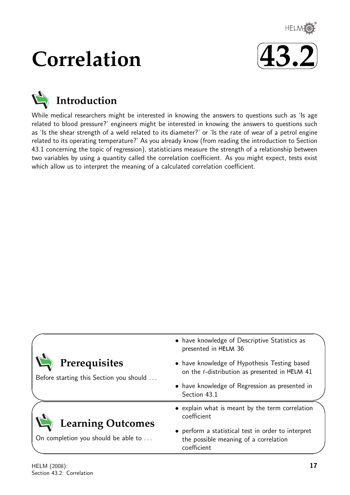

# **Correlation**





While medical researchers might be interested in knowing the answers to questions such as 'Is age related to blood pressure?' engineers might be interested in knowing the answers to questions such as 'Is the shear strength of a weld related to its diameter?' or 'Is the rate of wear of a petrol engine related to its operating temperature?' As you already know (from reading the introduction to Section 43.1 concerning the topic of regression), statisticians measure the strength of a relationship between two variables by using a quantity called the correlation coefficient. As you might expect, tests exist which allow us to interpret the meaning of a calculated correlation coefficient.

| Prerequisites<br>Before starting this Section you should        | • have knowledge of Descriptive Statistics as<br>presented in HELM 36<br>• have knowledge of Hypothesis Testing based<br>on the t-distribution as presented in HELM 41 |
|-----------------------------------------------------------------|------------------------------------------------------------------------------------------------------------------------------------------------------------------------|
|                                                                 | • have knowledge of Regression as presented in<br>Section 43.1                                                                                                         |
|                                                                 | • explain what is meant by the term correlation<br>coefficient                                                                                                         |
| <b>Learning Outcomes</b><br>On completion you should be able to | • perform a statistical test in order to interpret<br>the possible meaning of a correlation<br>coefficient                                                             |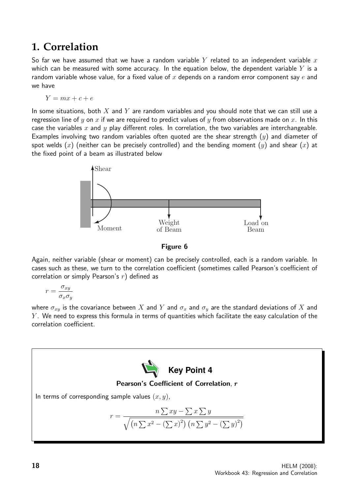## **1. Correlation**

So far we have assumed that we have a random variable Y related to an independent variable  $x$ which can be measured with some accuracy. In the equation below, the dependent variable Y is a random variable whose value, for a fixed value of x depends on a random error component say  $e$  and we have

$$
Y = mx + c + e
$$

In some situations, both  $X$  and  $Y$  are random variables and you should note that we can still use a regression line of y on x if we are required to predict values of y from observations made on x. In this case the variables x and y play different roles. In correlation, the two variables are interchangeable. Examples involving two random variables often quoted are the shear strength  $(y)$  and diameter of spot welds  $(x)$  (neither can be precisely controlled) and the bending moment  $(y)$  and shear  $(x)$  at the fixed point of a beam as illustrated below



Figure 6

Again, neither variable (shear or moment) can be precisely controlled, each is a random variable. In cases such as these, we turn to the correlation coefficient (sometimes called Pearson's coefficient of correlation or simply Pearson's  $r$ ) defined as

$$
r = \frac{\sigma_{xy}}{\sigma_x \sigma_y}
$$

where  $\sigma_{xy}$  is the covariance between X and Y and  $\sigma_x$  and  $\sigma_y$  are the standard deviations of X and  $Y$ . We need to express this formula in terms of quantities which facilitate the easy calculation of the correlation coefficient.

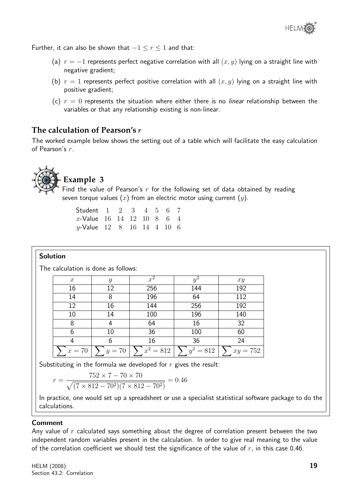

Further, it can also be shown that  $-1 \le r \le 1$  and that:

- (a)  $r = -1$  represents perfect negative correlation with all  $(x, y)$  lying on a straight line with negative gradient;
- (b)  $r = 1$  represents perfect positive correlation with all  $(x, y)$  lying on a straight line with positive gradient;
- (c)  $r = 0$  represents the situation where either there is no *linear* relationship between the variables or that any relationship existing is non-linear.

## **The calculation of Pearson's** r

The worked example below shows the setting out of a table which will facilitate the easy calculation of Pearson's r.



## **Example 3**

Find the value of Pearson's  $r$  for the following set of data obtained by reading seven torque values  $(x)$  from an electric motor using current  $(y)$ .

| Student 1 2 3 4 5 6 7             |  |  |  |  |
|-----------------------------------|--|--|--|--|
| x-Value 16 14 12 10 8 6 4         |  |  |  |  |
| <i>y</i> -Value 12 8 16 14 4 10 6 |  |  |  |  |

### Solution

The calculation is done as follows:

| $\boldsymbol{x}$ | Y        | $\overline{x^2}$ |             | xy         |
|------------------|----------|------------------|-------------|------------|
| 16               | 12       | 256              | 144         | 192        |
| 14               | 8        | 196              | 64          | 112        |
| 12               | 16       | 144              | 256         | 192        |
| 10               | 14       | 100              | 196         | 140        |
| 8                |          | 64               | 16          | 32         |
| 6                | 10       | 36               | 100         | 60         |
|                  | 6        | 16               | 36          | 24         |
| $x = 70$         | $y = 70$ | $x^2 = 812$      | $y^2 = 812$ | $xy = 752$ |

Substituting in the formula we developed for  $r$  gives the result:

$$
= \frac{752 \times 7 - 70 \times 70}{\sqrt{(7 \times 812 - 70^2)(7 \times 812 - 70^2)}} = 0.46
$$

In practice, one would set up a spreadsheet or use a specialist statistical software package to do the calculations.

#### Comment

 $\boldsymbol{r}$ 

Any value of  $r$  calculated says something about the degree of correlation present between the two independent random variables present in the calculation. In order to give real meaning to the value of the correlation coefficient we should test the significance of the value of  $r$ , in this case 0.46.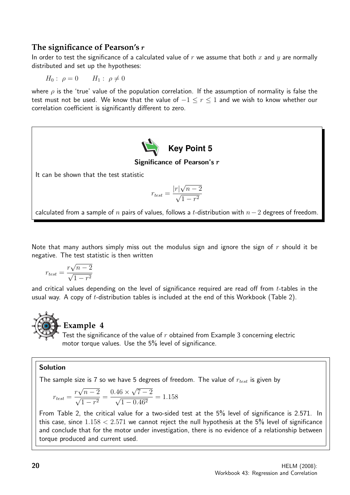## **The significance of Pearson's** r

In order to test the significance of a calculated value of r we assume that both x and y are normally distributed and set up the hypotheses:

 $H_0: \rho = 0$   $H_1: \rho \neq 0$ 

where  $\rho$  is the 'true' value of the population correlation. If the assumption of normality is false the test must not be used. We know that the value of  $-1 \le r \le 1$  and we wish to know whether our correlation coefficient is significantly different to zero.



Note that many authors simply miss out the modulus sign and ignore the sign of  $r$  should it be negative. The test statistic is then written

$$
r_{test} = \frac{r\sqrt{n-2}}{\sqrt{1-r^2}}
$$

and critical values depending on the level of significance required are read off from  $t$ -tables in the usual way. A copy of  $t$ -distribution tables is included at the end of this Workbook (Table 2).



## **Example 4**

Test the significance of the value of  $r$  obtained from Example 3 concerning electric motor torque values. Use the 5% level of significance.

### Solution

The sample size is 7 so we have 5 degrees of freedom. The value of  $r_{test}$  is given by

$$
r_{test} = \frac{r\sqrt{n-2}}{\sqrt{1-r^2}} = \frac{0.46 \times \sqrt{7-2}}{\sqrt{1-0.46^2}} = 1.158
$$

From Table 2, the critical value for a two-sided test at the 5% level of significance is 2.571. In this case, since  $1.158 < 2.571$  we cannot reject the null hypothesis at the 5% level of significance and conclude that for the motor under investigation, there is no evidence of a relationship between torque produced and current used.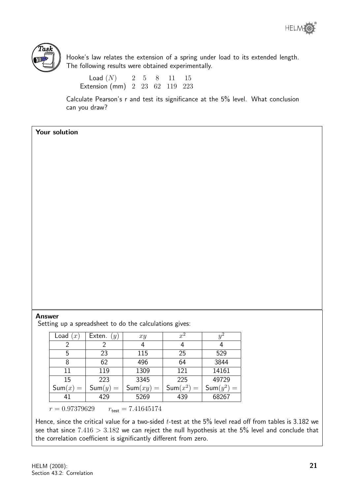



Hooke's law relates the extension of a spring under load to its extended length. The following results were obtained experimentally.

 $Load(N)$  2 5 8 11 15 Extension (mm) 2 23 62 119 223

Calculate Pearson's r and test its significance at the 5% level. What conclusion can you draw?

## Your solution

#### Answer

Setting up a spreadsheet to do the calculations gives:

| Load $(x)$ | Exten. $(y)$ | xy          | $\overline{x^2}$ | $y^2$        |
|------------|--------------|-------------|------------------|--------------|
|            |              | 4           | 4                | 4            |
| 5          | 23           | 115         | 25               | 529          |
| 8          | 62           | 496         | 64               | 3844         |
| 11         | 119          | 1309        | 121              | 14161        |
| 15         | 223          | 3345        | 225              | 49729        |
| $Sum(x) =$ | $Sum(y) =$   | $Sum(xy) =$ | $Sum(x^2) =$     | $Sum(y^2) =$ |
| 41         | 429          | 5269        | 439              | 68267        |
|            |              |             |                  |              |

 $r = 0.97379629$   $r_{\text{test}} = 7.41645174$ 

Hence, since the critical value for a two-sided  $t$ -test at the  $5\%$  level read off from tables is 3.182 we see that since  $7.416 > 3.182$  we can reject the null hypothesis at the 5% level and conclude that the correlation coefficient is significantly different from zero.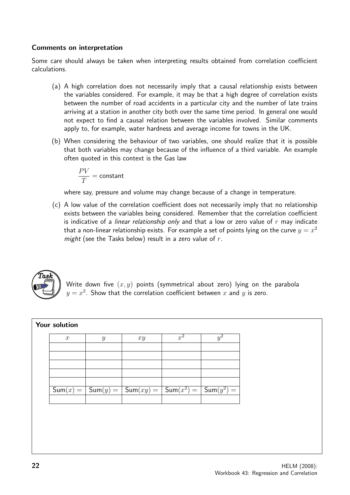### Comments on interpretation

Some care should always be taken when interpreting results obtained from correlation coefficient calculations.

- (a) A high correlation does not necessarily imply that a causal relationship exists between the variables considered. For example, it may be that a high degree of correlation exists between the number of road accidents in a particular city and the number of late trains arriving at a station in another city both over the same time period. In general one would not expect to find a causal relation between the variables involved. Similar comments apply to, for example, water hardness and average income for towns in the UK.
- (b) When considering the behaviour of two variables, one should realize that it is possible that both variables may change because of the influence of a third variable. An example often quoted in this context is the Gas law

$$
\frac{PV}{T} = {\rm constant}
$$

where say, pressure and volume may change because of a change in temperature.

(c) A low value of the correlation coefficient does not necessarily imply that no relationship exists between the variables being considered. Remember that the correlation coefficient is indicative of a linear relationship only and that a low or zero value of  $r$  may indicate that a non-linear relationship exists. For example a set of points lying on the curve  $y=x^2$ might (see the Tasks below) result in a zero value of  $r$ .



Write down five  $(x, y)$  points (symmetrical about zero) lying on the parabola  $y=x^2$ . Show that the correlation coefficient between  $x$  and  $y$  is zero.

| Your solution    |               |                                              |       |              |
|------------------|---------------|----------------------------------------------|-------|--------------|
| $\boldsymbol{x}$ | $\mathcal{Y}$ | xy                                           | $x^2$ | Y            |
|                  |               |                                              |       |              |
|                  |               |                                              |       |              |
|                  |               |                                              |       |              |
| $Sum(x) =  $     | $Sum(y) =$    | $ \mathsf{Sum}(xy) =  \mathsf{Sum}(x^2) =  $ |       | $Sum(y^2) =$ |
|                  |               |                                              |       |              |
|                  |               |                                              |       |              |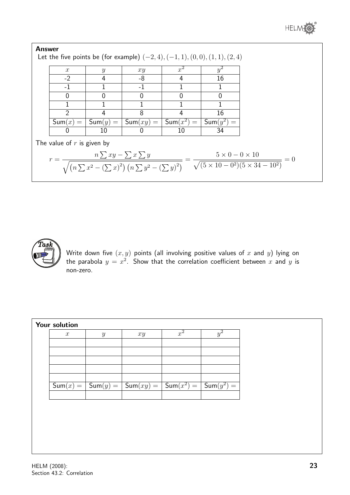

| $\mathcal{X}$                | $\boldsymbol{y}$ | xy          | $x^2$        | $y^2$        |                                                                                                                                                                                         |
|------------------------------|------------------|-------------|--------------|--------------|-----------------------------------------------------------------------------------------------------------------------------------------------------------------------------------------|
| $-2$                         | 4                | $-8$        | 4            | 16           |                                                                                                                                                                                         |
| $-1$                         |                  | $-1$        |              |              |                                                                                                                                                                                         |
| 0                            | 0                | 0           | 0            | 0            |                                                                                                                                                                                         |
|                              |                  |             |              |              |                                                                                                                                                                                         |
| 2                            |                  | 8           | 4            | 16           |                                                                                                                                                                                         |
| $Sum(x) =$                   | $Sum(y) = 1$     | $Sum(xy) =$ | $Sum(x^2) =$ | $Sum(y^2) =$ |                                                                                                                                                                                         |
|                              | 10               |             | 10           | 34           |                                                                                                                                                                                         |
| The value of $r$ is given by |                  |             |              |              |                                                                                                                                                                                         |
|                              |                  |             |              |              | $r = \frac{n \sum xy - \sum x \sum y}{\sqrt{(n \sum x^2 - (\sum x)^2)(n \sum y^2 - (\sum y)^2)}} = \frac{5 \times 0 - 0 \times 10}{\sqrt{(5 \times 10 - 0^2)(5 \times 34 - 10^2)}} = 0$ |



Write down five  $(x,y)$  points (all involving positive values of  $x$  and  $y$ ) lying on the parabola  $y = x^2$ . Show that the correlation coefficient between  $x$  and  $y$  is non-zero.

|            |            |               |                            | $y^2$                        |
|------------|------------|---------------|----------------------------|------------------------------|
|            |            |               |                            |                              |
|            |            |               |                            |                              |
|            |            |               |                            |                              |
|            |            |               |                            |                              |
|            |            |               |                            |                              |
| $Sum(x) =$ | $Sum(y) =$ | $Sum(xy) = 1$ | $\sqrt{\text{Sum}(x^2)} =$ | $\sqrt{\mathsf{Sum}(y^2)} =$ |
|            |            |               |                            |                              |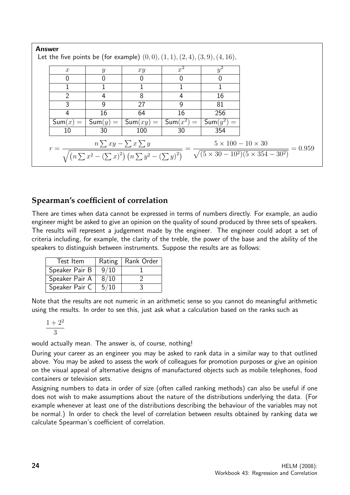| <b>Answer</b>                                                                                                                                                                                                                                                  |                  |                     | Let the five points be (for example) $(0,0), (1,1), (2,4), (3,9), (4,16),$ |              |              |  |
|----------------------------------------------------------------------------------------------------------------------------------------------------------------------------------------------------------------------------------------------------------------|------------------|---------------------|----------------------------------------------------------------------------|--------------|--------------|--|
|                                                                                                                                                                                                                                                                | $\boldsymbol{x}$ | $\boldsymbol{y}$    | xy                                                                         | $x^2$        | $y^2$        |  |
|                                                                                                                                                                                                                                                                | 0                | 0                   | 0                                                                          | $\mathbf{0}$ | 0            |  |
|                                                                                                                                                                                                                                                                |                  |                     |                                                                            |              |              |  |
|                                                                                                                                                                                                                                                                | 2                | 4                   | 8                                                                          | 4            | 16           |  |
|                                                                                                                                                                                                                                                                | 3                | 9                   | 27                                                                         | 9            | 81           |  |
|                                                                                                                                                                                                                                                                | 4                | 16                  | 64                                                                         | 16           | 256          |  |
|                                                                                                                                                                                                                                                                | $Sum(x) =$       | $\mathsf{Sum}(y) =$ | $Sum(xy) =$                                                                | $Sum(x^2) =$ | $Sum(y^2) =$ |  |
|                                                                                                                                                                                                                                                                | 10               | 30                  | 100                                                                        | 30           | 354          |  |
| $5 \times 100 - 10 \times 30$<br>$n \sum xy - \sum x \sum y$<br>$= 0.959$<br>$r =$<br>$\sqrt{(n \sum x^2 - (\sum x)^2) (n \sum y^2 - (\sum y)^2)} - \frac{\sqrt{(5 \times 30 - 10^2)(5 \times 354 - 30^2)}}{\sqrt{(5 \times 30 - 10^2)(5 \times 354 - 30^2)}}$ |                  |                     |                                                                            |              |              |  |

## **Spearman's coefficient of correlation**

There are times when data cannot be expressed in terms of numbers directly. For example, an audio engineer might be asked to give an opinion on the quality of sound produced by three sets of speakers. The results will represent a judgement made by the engineer. The engineer could adopt a set of criteria including, for example, the clarity of the treble, the power of the base and the ability of the speakers to distinguish between instruments. Suppose the results are as follows:

| Test Item      |      | Rating   Rank Order |
|----------------|------|---------------------|
| Speaker Pair B | 9/10 |                     |
| Speaker Pair A | 8/10 |                     |
| Speaker Pair C | 5/10 |                     |

Note that the results are not numeric in an arithmetic sense so you cannot do meaningful arithmetic using the results. In order to see this, just ask what a calculation based on the ranks such as

$$
\frac{1+2^2}{3}
$$

would actually mean. The answer is, of course, nothing!

During your career as an engineer you may be asked to rank data in a similar way to that outlined above. You may be asked to assess the work of colleagues for promotion purposes or give an opinion on the visual appeal of alternative designs of manufactured objects such as mobile telephones, food containers or television sets.

Assigning numbers to data in order of size (often called ranking methods) can also be useful if one does not wish to make assumptions about the nature of the distributions underlying the data. (For example whenever at least one of the distributions describing the behaviour of the variables may not be normal.) In order to check the level of correlation between results obtained by ranking data we calculate Spearman's coefficient of correlation.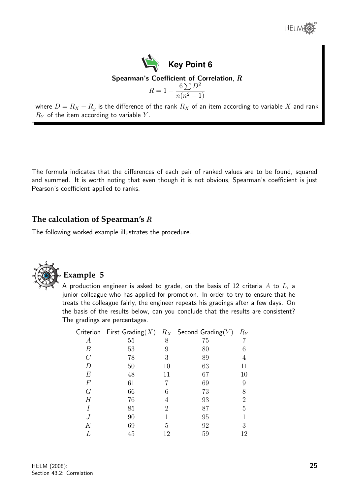



where  $D = R_X - R_y$  is the difference of the rank  $R_X$  of an item according to variable X and rank  $R_Y$  of the item according to variable Y.

The formula indicates that the differences of each pair of ranked values are to be found, squared and summed. It is worth noting that even though it is not obvious, Spearman's coefficient is just Pearson's coefficient applied to ranks.

## **The calculation of Spearman's** R

The following worked example illustrates the procedure.



## **Example 5**

A production engineer is asked to grade, on the basis of 12 criteria  $A$  to  $L$ , a junior colleague who has applied for promotion. In order to try to ensure that he treats the colleague fairly, the engineer repeats his gradings after a few days. On the basis of the results below, can you conclude that the results are consistent? The gradings are percentages.

|       |    |    | Criterion First Grading $(X)$ $R_X$ Second Grading $(Y)$ | $R_Y$          |
|-------|----|----|----------------------------------------------------------|----------------|
| А     | 55 | 8  | 75                                                       |                |
| В     | 53 | 9  | 80                                                       | 6              |
| C     | 78 | 3  | 89                                                       | 4              |
| D     | 50 | 10 | 63                                                       | 11             |
| $E\,$ | 48 | 11 | 67                                                       | 10             |
| $\,F$ | 61 |    | 69                                                       | 9              |
| G     | 66 | 6  | 73                                                       | 8              |
| Н     | 76 | 4  | 93                                                       | $\overline{2}$ |
|       | 85 | 2  | 87                                                       | 5              |
|       | 90 |    | 95                                                       |                |
| Κ     | 69 | 5  | 92                                                       | 3              |
|       | 45 | 12 | 59                                                       | 12             |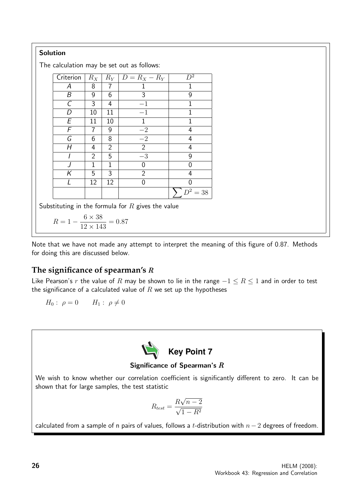## Solution

The calculation may be set out as follows:

| Criterion | $R_X$ | $R_Y$          | $ D=R_X-R_Y $  | $\overline{D^2}$ |
|-----------|-------|----------------|----------------|------------------|
| А         | 8     | 7              | 1              | 1                |
| B         | 9     | 6              | 3              | 9                |
| C         | 3     | 4              | $-1$           | 1                |
| D         | 10    | 11             | $-1$           | 1                |
| Е         | 11    | 10             | 1              | 1                |
| F         |       | 9              | $-2$           | 4                |
| G         | 6     | 8              | $-2$           | 4                |
| Н         | 4     | $\overline{2}$ | $\overline{2}$ | 4                |
|           | 2     | 5              | $-3$           | 9                |
|           | 1     | 1              | ი              | N                |
| K         | 5     | 3              | $\overline{2}$ | 4                |
|           | 12    | 12             | 0              | በ                |
|           |       |                |                | $D^2 = 38$       |

Substituting in the formula for  $R$  gives the value

$$
R = 1 - \frac{6 \times 38}{12 \times 143} = 0.87
$$

Note that we have not made any attempt to interpret the meaning of this figure of 0.87. Methods for doing this are discussed below.

## **The significance of spearman's** R

Like Pearson's r the value of R may be shown to lie in the range  $-1 \le R \le 1$  and in order to test the significance of a calculated value of  $R$  we set up the hypotheses

$$
H_0: \ \rho = 0 \qquad H_1: \ \rho \neq 0
$$



### Significance of Spearman's  $R$

We wish to know whether our correlation coefficient is significantly different to zero. It can be shown that for large samples, the test statistic

$$
R_{test} = \frac{R\sqrt{n-2}}{\sqrt{1-R^2}}
$$

calculated from a sample of n pairs of values, follows a t-distribution with  $n-2$  degrees of freedom.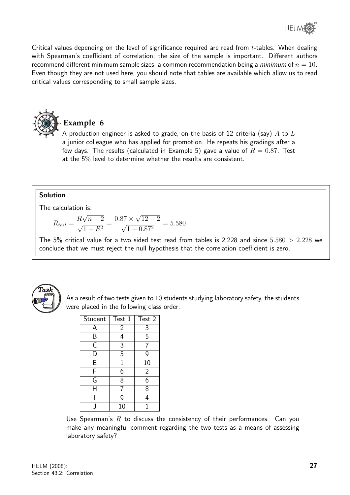

Critical values depending on the level of significance required are read from t-tables. When dealing with Spearman's coefficient of correlation, the size of the sample is important. Different authors recommend different minimum sample sizes, a common recommendation being a *minimum* of  $n = 10$ . Even though they are not used here, you should note that tables are available which allow us to read critical values corresponding to small sample sizes.



A production engineer is asked to grade, on the basis of 12 criteria (say)  $A$  to  $L$ a junior colleague who has applied for promotion. He repeats his gradings after a few days. The results (calculated in Example 5) gave a value of  $R = 0.87$ . Test at the 5% level to determine whether the results are consistent.

#### Solution

The calculation is:

$$
R_{test} = \frac{R\sqrt{n-2}}{\sqrt{1-R^2}} = \frac{0.87 \times \sqrt{12-2}}{\sqrt{1-0.87^2}} = 5.580
$$

The 5% critical value for a two sided test read from tables is 2.228 and since  $5.580 > 2.228$  we conclude that we must reject the null hypothesis that the correlation coefficient is zero.



As a result of two tests given to 10 students studying laboratory safety, the students were placed in the following class order.

| Student                 | Test 1         | Test 2         |
|-------------------------|----------------|----------------|
| А                       | $\overline{2}$ | 3              |
| Β                       | 4              | 5              |
| $\overline{\mathsf{C}}$ | $\overline{3}$ |                |
| D                       | $\overline{5}$ | 9              |
| E                       | $\mathbf{1}$   | 10             |
| F                       | 6              | $\overline{2}$ |
| G                       | 8              | 6              |
| H                       |                | 8              |
|                         | 9              | 4              |
|                         | 10             |                |

Use Spearman's  $R$  to discuss the consistency of their performances. Can you make any meaningful comment regarding the two tests as a means of assessing laboratory safety?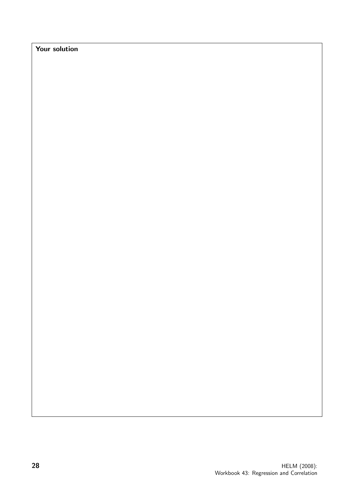Your solution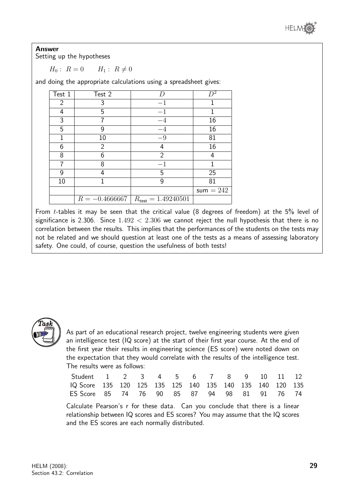

#### Answer

Setting up the hypotheses

 $H_0: R = 0 \qquad H_1: R \neq 0$ 

and doing the appropriate calculations using a spreadsheet gives:

| Test 1 | Test 2           | D                              | $\mathcal{D}^2$ |
|--------|------------------|--------------------------------|-----------------|
| 2      | 3                | $-1$                           |                 |
| 4      | 5                | $-1$                           |                 |
| 3      |                  | $-4$                           | 16              |
| 5      | 9                | $-4$                           | 16              |
| 1      | 10               | $-9$                           | 81              |
| 6      | $\overline{2}$   | 4                              | 16              |
| 8      | 6                | $\overline{2}$                 | 4               |
|        | 8                | - 1                            |                 |
| 9      | 4                | 5                              | 25              |
| 10     | 1                | 9                              | 81              |
|        |                  |                                | sum $= 242$     |
|        | $R = -0.4666667$ | $R_{\text{test}} = 1.49240501$ |                 |

From t-tables it may be seen that the critical value (8 degrees of freedom) at the 5% level of significance is 2.306. Since  $1.492 < 2.306$  we cannot reject the null hypothesis that there is no correlation between the results. This implies that the performances of the students on the tests may not be related and we should question at least one of the tests as a means of assessing laboratory safety. One could, of course, question the usefulness of both tests!



As part of an educational research project, twelve engineering students were given an intelligence test (IQ score) at the start of their first year course. At the end of the first year their results in engineering science (ES score) were noted down on the expectation that they would correlate with the results of the intelligence test. The results were as follows:

| Student 1 2 3 4 5 6 7 8 9 10 11 12                       |  |  |  |  |  |  |
|----------------------------------------------------------|--|--|--|--|--|--|
| IQ Score 135 120 125 135 125 140 135 140 135 140 120 135 |  |  |  |  |  |  |
| ES Score 85 74 76 90 85 87 94 98 81 91 76 74             |  |  |  |  |  |  |

Calculate Pearson's r for these data. Can you conclude that there is a linear relationship between IQ scores and ES scores? You may assume that the IQ scores and the ES scores are each normally distributed.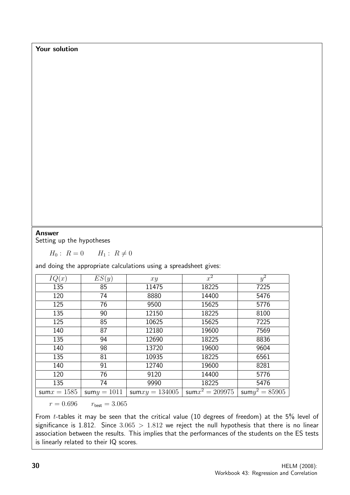## Your solution

#### Answer

Setting up the hypotheses

 $H_0: R = 0 \qquad H_1: R \neq 0$ 

and doing the appropriate calculations using a spreadsheet gives:

| IQ(x)          | ES(y)          | xy                | $x^2$            | $y^2$             |
|----------------|----------------|-------------------|------------------|-------------------|
| 135            | 85             | 11475             | 18225            | 7225              |
| 120            | 74             | 8880              | 14400            | 5476              |
| 125            | 76             | 9500              | 15625            | 5776              |
| 135            | 90             | 12150             | 18225            | 8100              |
| 125            | 85             | 10625             | 15625            | 7225              |
| 140            | 87             | 12180             | 19600            | 7569              |
| 135            | 94             | 12690             | 18225            | 8836              |
| 140            | 98             | 13720             | 19600            | 9604              |
| 135            | 81             | 10935             | 18225            | 6561              |
| 140            | 91             | 12740             | 19600            | 8281              |
| 120            | 76             | 9120              | 14400            | 5776              |
| 135            | 74             | 9990              | 18225            | 5476              |
| sum $x = 1585$ | sum $y = 1011$ | sum $xy = 134005$ | $sum^2 = 209975$ | sum $y^2 = 85905$ |

 $r = 0.696$   $r_{\text{test}} = 3.065$ 

From t-tables it may be seen that the critical value (10 degrees of freedom) at the 5% level of significance is 1.812. Since  $3.065 > 1.812$  we reject the null hypothesis that there is no linear association between the results. This implies that the performances of the students on the ES tests is linearly related to their IQ scores.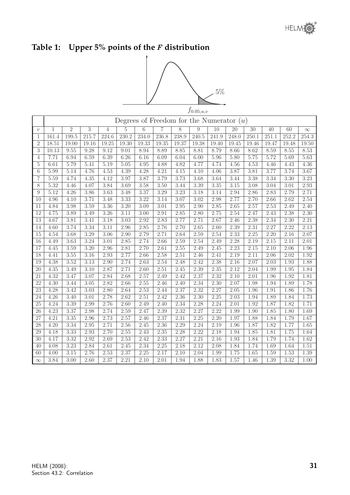# **Table 1: Upper 5% points of the** F **distribution**



|                  | $J\cup\ldots\cup J,\omega$<br>Degrees of Freedom for the Numerator $(u)$                                      |       |                |                   |          |       |                |       |                   |       |       |                   |       |       |          |
|------------------|---------------------------------------------------------------------------------------------------------------|-------|----------------|-------------------|----------|-------|----------------|-------|-------------------|-------|-------|-------------------|-------|-------|----------|
|                  | $\overline{2}$<br>$\overline{10}$<br>$\overline{20}$<br>$\overline{30}$<br>$\overline{40}$<br>$\overline{60}$ |       |                |                   |          |       |                |       |                   |       |       |                   |       |       |          |
| $\upsilon$       | $\mathbf{1}$                                                                                                  |       | $\overline{3}$ | 4                 | $\rm 5$  | 6     | $\overline{7}$ | 8     | 9                 |       |       |                   |       |       | $\infty$ |
| $\mathbf{1}$     | 161.4                                                                                                         | 199.5 | 215.7          | 224.6             | 230.2    | 234.0 | 236.8          | 238.9 | 240.5             | 241.9 | 248.0 | 250.1             | 251.1 | 252.2 | 254.3    |
| $\overline{2}$   | 18.51                                                                                                         | 19.00 | 19.16          | 19.25             | 19.30    | 19.33 | 19.35          | 19.37 | 19.38             | 19.40 | 19.45 | 19.46             | 19.47 | 19.48 | 19.50    |
| $\sqrt{3}$       | 10.13                                                                                                         | 9.55  | 9.28           | 9.12              | 9.01     | 8.94  | 8.89           | 8.85  | 8.81              | 8.79  | 8.66  | 8.62              | 8.59  | 8.55  | 8.53     |
| 4                | 7.71                                                                                                          | 6.94  | 6.59           | 6.39              | 6.26     | 6.16  | 6.09           | 6.04  | 6.00              | 5.96  | 5.80  | 5.75              | 5.72  | 5.69  | 5.63     |
| $\overline{5}$   | 6.61                                                                                                          | 5.79  | 5.41           | 5.19              | 5.05     | 4.95  | 4.88           | 4.82  | 4.77              | 4.74  | 4.56  | 4.53              | 4.46  | 4.43  | 4.36     |
| $\,6$            | 5.99                                                                                                          | 5.14  | 4.76           | $4.53\,$          | 4.39     | 4.28  | 4.21           | 4.15  | 4.10              | 4.06  | 3.87  | 3.81              | 3.77  | 3.74  | 3.67     |
| $\overline{7}$   | 5.59                                                                                                          | 4.74  | 4.35           | 4.12              | 3.97     | 3.87  | 3.79           | 3.73  | $\overline{3.68}$ | 3.64  | 3.44  | 3.38              | 3.34  | 3.30  | 3.23     |
| $\overline{8}$   | 5.32                                                                                                          | 4.46  | 4.07           | 3.84              | 3.69     | 3.58  | 3.50           | 3.44  | 3.39              | 3.35  | 3.15  | 3.08              | 3.04  | 3.01  | 2.93     |
| $\boldsymbol{9}$ | 5.12                                                                                                          | 4.26  | 3.86           | 3.63              | 3.48     | 3.37  | 3.29           | 3.23  | 3.18              | 3.14  | 2.94  | 2.86              | 2.83  | 2.79  | 2.71     |
| 10               | 4.96                                                                                                          | 4.10  | 3.71           | 3.48              | 3.33     | 3.22  | 3.14           | 3.07  | $\overline{3.02}$ | 2.98  | 2.77  | 2.70              | 2.66  | 2.62  | 2.54     |
| 11               | 4.84                                                                                                          | 3.98  | 3.59           | 3.36              | 3.20     | 3.09  | 3.01           | 2.95  | 2.90              | 2.85  | 2.65  | 2.57              | 2.53  | 2.49  | 2.40     |
| $\overline{12}$  | 4.75                                                                                                          | 3.89  | 3.49           | $\overline{3.26}$ | 3.11     | 3.00  | 2.91           | 2.85  | 2.80              | 2.75  | 2.54  | 2.47              | 2.43  | 2.38  | 2.30     |
| 13               | 4.67                                                                                                          | 3.81  | 3.41           | 3.18              | 3.03     | 2.92  | 2.83           | 2.77  | 2.71              | 2.67  | 2.46  | 2.38              | 2.34  | 2.30  | 2.21     |
| 14               | 4.60                                                                                                          | 3.74  | 3.34           | 3.11              | 2.96     | 2.85  | 2.76           | 2.70  | 2.65              | 2.60  | 2.39  | 2.31              | 2.27  | 2.22  | 2.13     |
| 15               | 4.54                                                                                                          | 3.68  | 3.29           | 3.06              | 2.90     | 2.79  | 2.71           | 2.64  | 2.59              | 2.54  | 2.33  | 2.25              | 2.20  | 2.16  | 2.07     |
| $\overline{16}$  | 4.49                                                                                                          | 3.63  | 3.24           | 3.01              | 2.85     | 2.74  | 2.66           | 2.59  | 2.54              | 2.49  | 2.28  | 2.19              | 2.15  | 2.11  | 2.01     |
| $\overline{17}$  | 4.45                                                                                                          | 3.59  | 3.20           | 2.96              | 2.81     | 2.70  | 2.61           | 2.55  | 2.49              | 2.45  | 2.23  | 2.15              | 2.10  | 2.06  | 1.96     |
| 18               | 4.41                                                                                                          | 3.55  | 3.16           | 2.93              | 2.77     | 2.66  | 2.58           | 2.51  | 2.46              | 2.41  | 2.19  | 2.11              | 2.06  | 2.02  | 1.92     |
| 19               | 4.38                                                                                                          | 3.52  | 3.13           | 2.90              | 2.74     | 2.63  | 2.54           | 2.48  | 2.42              | 2.38  | 2.16  | 2.07              | 2.03  | 1.93  | 1.88     |
| $\overline{20}$  | 4.35                                                                                                          | 3.49  | 3.10           | 2.87              | 2.71     | 2.60  | 2.51           | 2.45  | 2.39              | 2.35  | 2.12  | 2.04              | 1.99  | 1.95  | 1.84     |
| 21               | 4.32                                                                                                          | 3.47  | 3.07           | 2.84              | 2.68     | 2.57  | 2.49           | 2.42  | 2.37              | 2.32  | 2.10  | $\overline{2.0}1$ | 1.96  | 1.92  | 1.81     |
| $\overline{22}$  | 4.30                                                                                                          | 3.44  | 3.05           | 2.82              | 2.66     | 2.55  | 2.46           | 2.40  | 2.34              | 2.30  | 2.07  | 1.98              | 1.94  | 1.89  | 1.78     |
| 23               | 4.28                                                                                                          | 3.42  | 3.03           | 2.80              | 2.64     | 2.53  | 2.44           | 2.37  | 2.32              | 2.27  | 2.05  | 1.96              | 1.91  | 1.86  | 1.76     |
| 24               | 4.26                                                                                                          | 3.40  | 3.01           | 2.78              | 2.62     | 2.51  | 2.42           | 2.36  | 2.30              | 2.25  | 2.03  | 1.94              | 1.89  | 1.84  | 1.73     |
| 25               | 4.24                                                                                                          | 3.39  | 2.99           | 2.76              | 2.60     | 2.49  | 2.40           | 2.34  | 2.28              | 2.24  | 2.01  | 1.92              | 1.87  | 1.82  | 1.71     |
| 26               | 4.23                                                                                                          | 3.37  | 2.98           | 2.74              | 2.59     | 2.47  | 2.39           | 2.32  | 2.27              | 2.22  | 1.99  | 1.90              | 1.85  | 1.80  | 1.69     |
| 27               | 4.21                                                                                                          | 3.35  | 2.96           | 2.73              | 2.57     | 2.46  | 2.37           | 2.31  | 2.25              | 2.20  | 1.97  | 1.88              | 1.84  | 1.79  | 1.67     |
| $\overline{28}$  | 4.20                                                                                                          | 3.34  | 2.95           | 2.71              | 2.56     | 2.45  | 2.36           | 2.29  | 2.24              | 2.19  | 1.96  | 1.87              | 1.82  | 1.77  | 1.65     |
| 29               | 4.18                                                                                                          | 3.33  | 2.93           | 2.70              | $2.55\,$ | 2.43  | $2.35\,$       | 2.28  | 2.22              | 2.18  | 1.94  | 1.85              | 1.81  | 1.75  | 1.64     |
| 30               | 4.17                                                                                                          | 3.32  | 2.92           | 2.69              | 2.53     | 2.42  | 2.33           | 2.27  | 2.21              | 2.16  | 1.93  | 1.84              | 1.79  | 1.74  | 1.62     |
| 40               | 4.08                                                                                                          | 3.23  | 2.84           | 2.61              | 2.45     | 2.34  | 2.25           | 2.18  | 2.12              | 2.08  | 1.84  | 1.74              | 1.69  | 1.64  | 1.51     |
| 60               | 4.00                                                                                                          | 3.15  | 2.76           | 2.53              | 2.37     | 2.25  | 2.17           | 2.10  | 2.04              | 1.99  | 1.75  | 1.65              | 1.59  | 1.53  | 1.39     |
| $\infty$         | 3.84                                                                                                          | 3.00  | 2.60           | 2.37              | 2.21     | 2.10  | 2.01           | 1.94  | 1.88              | 1.83  | 1.57  | 1.46              | 1.39  | 3.32  | 1.00     |